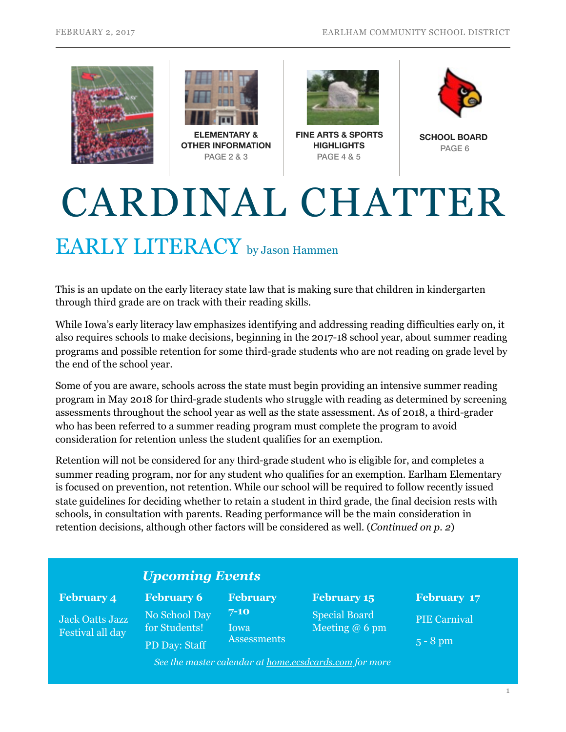



**OTHER INFORMATION** PAGE 2 & 3



**FINE ARTS & SPORTS HIGHLIGHTS** PAGE 4 & 5



**SCHOOL BOARD**  PAGE 6

# CARDINAL CHATTER

### EARLY LITERACY by Jason Hammen

This is an update on the early literacy state law that is making sure that children in kindergarten through third grade are on track with their reading skills.

While Iowa's early literacy law emphasizes identifying and addressing reading difficulties early on, it also requires schools to make decisions, beginning in the 2017-18 school year, about summer reading programs and possible retention for some third-grade students who are not reading on grade level by the end of the school year.

Some of you are aware, schools across the state must begin providing an intensive summer reading program in May 2018 for third-grade students who struggle with reading as determined by screening assessments throughout the school year as well as the state assessment. As of 2018, a third-grader who has been referred to a summer reading program must complete the program to avoid consideration for retention unless the student qualifies for an exemption.

Retention will not be considered for any third-grade student who is eligible for, and completes a summer reading program, nor for any student who qualifies for an exemption. Earlham Elementary is focused on prevention, not retention. While our school will be required to follow recently issued state guidelines for deciding whether to retain a student in third grade, the final decision rests with schools, in consultation with parents. Reading performance will be the main consideration in retention decisions, although other factors will be considered as well. (*Continued on p. 2*)

### *Upcoming Events*

#### **February 4**

Jack Oatts Jazz Festival all day

**February 7-10**  Iowa **Assessments February 6**  No School Day for Students! PD Day: Staff

**February 15**  Special Board Meeting @ 6 pm

**February 17**  PIE Carnival 5 - 8 pm

*See the master calendar at [home.ecsdcards.com](http://home.ecsdcards.com) for more*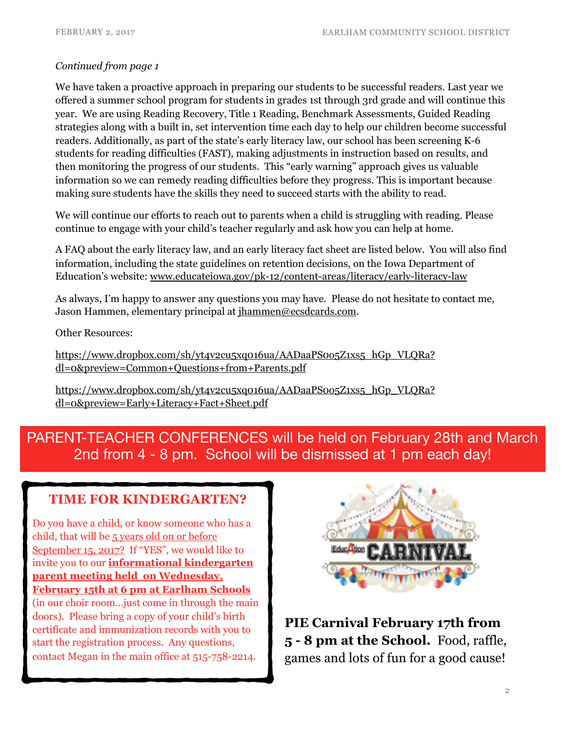#### *Continued from page 1*

We have taken a proactive approach in preparing our students to be successful readers. Last year we offered a summer school program for students in grades 1st through 3rd grade and will continue this year. We are using Reading Recovery, Title 1 Reading, Benchmark Assessments, Guided Reading strategies along with a built in, set intervention time each day to help our children become successful readers. Additionally, as part of the state's early literacy law, our school has been screening K-6 students for reading difficulties (FAST), making adjustments in instruction based on results, and then monitoring the progress of our students. This "early warning" approach gives us valuable information so we can remedy reading difficulties before they progress. This is important because making sure students have the skills they need to succeed starts with the ability to read.

We will continue our efforts to reach out to parents when a child is struggling with reading. Please continue to engage with your child's teacher regularly and ask how you can help at home.

A FAQ about the early literacy law, and an early literacy fact sheet are listed below. You will also find information, including the state guidelines on retention decisions, on the Iowa Department of Education's website: www.educateiowa.gov/pk-12/content-areas/literacy/early-literacy-law

As always, I'm happy to answer any questions you may have. Please do not hesitate to contact me, Jason Hammen, elementary principal at [jhammen@ecsdcards.com.](mailto:jhammen@ecsdcards.com)

Other Resources:

https://www.dropbox.com/sh/yt4v2cu5xq016ua/AADaaPS005Z1xs5\_hGp\_VLQRa? dl=0&preview=Common+Questions+from+Parents.pdf

https://www.dropbox.com/sh/yt4v2cu5xq016ua/AADaaPS0o5Z1xs5\_hGp\_VLORa? dl=0&preview=Early+Literacy+Fact+Sheet.pdf

### PARENT-TEACHER CONFERENCES will be held on February 28th and March 2nd from 4 - 8 pm. School will be dismissed at 1 pm each day!

### **TIME FOR KINDERGARTEN?**

Do you have a child, or know someone who has a child, that will be 5 years old on or before September 15, 2017? If "YES", we would like to invite you to our **informational kindergarten parent meeting held on Wednesday, February 15th at 6 pm at Earlham Schools** (in our choir room…just come in through the main doors). Please bring a copy of your child's birth certificate and immunization records with you to start the registration process. Any questions, contact Megan in the main office at 515-758-2214.



**PIE Carnival February 17th from 5 - 8 pm at the School.** Food, raffle, games and lots of fun for a good cause!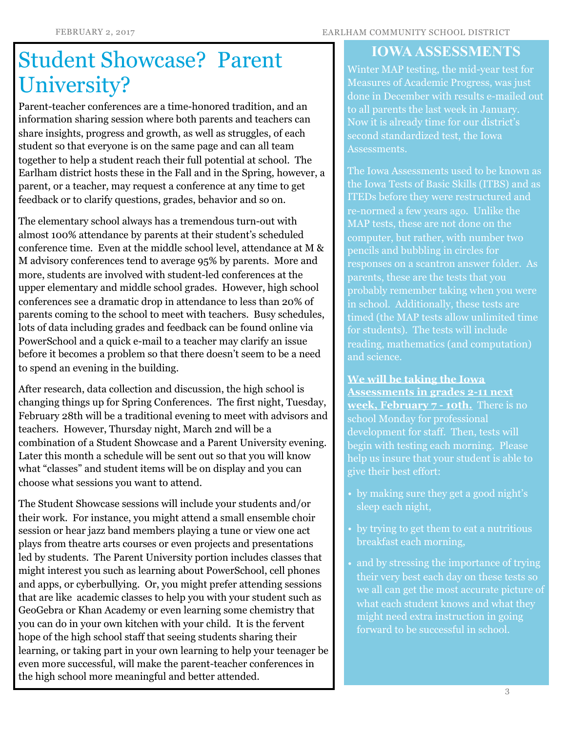#### FEBRUARY 2, 2017 EARLHAM COMMUNITY SCHOOL DISTRICT

# Student Showcase? Parent University?

Parent-teacher conferences are a time-honored tradition, and an information sharing session where both parents and teachers can share insights, progress and growth, as well as struggles, of each student so that everyone is on the same page and can all team together to help a student reach their full potential at school. The Earlham district hosts these in the Fall and in the Spring, however, a parent, or a teacher, may request a conference at any time to get feedback or to clarify questions, grades, behavior and so on.

The elementary school always has a tremendous turn-out with almost 100% attendance by parents at their student's scheduled conference time. Even at the middle school level, attendance at M & M advisory conferences tend to average 95% by parents. More and more, students are involved with student-led conferences at the upper elementary and middle school grades. However, high school conferences see a dramatic drop in attendance to less than 20% of parents coming to the school to meet with teachers. Busy schedules, lots of data including grades and feedback can be found online via PowerSchool and a quick e-mail to a teacher may clarify an issue before it becomes a problem so that there doesn't seem to be a need to spend an evening in the building.

After research, data collection and discussion, the high school is changing things up for Spring Conferences. The first night, Tuesday, February 28th will be a traditional evening to meet with advisors and teachers. However, Thursday night, March 2nd will be a combination of a Student Showcase and a Parent University evening. Later this month a schedule will be sent out so that you will know what "classes" and student items will be on display and you can choose what sessions you want to attend.

The Student Showcase sessions will include your students and/or their work. For instance, you might attend a small ensemble choir session or hear jazz band members playing a tune or view one act plays from theatre arts courses or even projects and presentations led by students. The Parent University portion includes classes that might interest you such as learning about PowerSchool, cell phones and apps, or cyberbullying. Or, you might prefer attending sessions that are like academic classes to help you with your student such as GeoGebra or Khan Academy or even learning some chemistry that you can do in your own kitchen with your child. It is the fervent hope of the high school staff that seeing students sharing their learning, or taking part in your own learning to help your teenager be even more successful, will make the parent-teacher conferences in the high school more meaningful and better attended.

### **IOWA ASSESSMENTS**

Winter MAP testing, the mid-year test for Measures of Academic Progress, was just done in December with results e-mailed out to all parents the last week in January. Now it is already time for our district's second standardized test, the Iowa Assessments.

The Iowa Assessments used to be known as the Iowa Tests of Basic Skills (ITBS) and as ITEDs before they were restructured and re-normed a few years ago. Unlike the MAP tests, these are not done on the computer, but rather, with number two pencils and bubbling in circles for responses on a scantron answer folder. As parents, these are the tests that you probably remember taking when you were in school. Additionally, these tests are timed (the MAP tests allow unlimited time for students). The tests will include reading, mathematics (and computation) and science.

**We will be taking the Iowa Assessments in grades 2-11 next week, February 7 - 10th.** There is no school Monday for professional development for staff. Then, tests will begin with testing each morning. Please help us insure that your student is able to give their best effort:

- by making sure they get a good night's sleep each night,
- by trying to get them to eat a nutritious breakfast each morning,
- and by stressing the importance of trying their very best each day on these tests so we all can get the most accurate picture of what each student knows and what they might need extra instruction in going forward to be successful in school.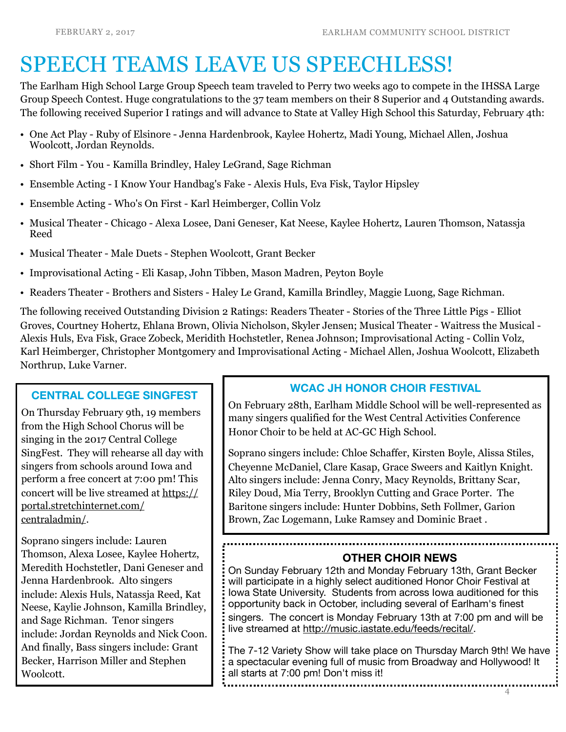## SPEECH TEAMS LEAVE US SPEECHLESS!

The Earlham High School Large Group Speech team traveled to Perry two weeks ago to compete in the IHSSA Large Group Speech Contest. Huge congratulations to the 37 team members on their 8 Superior and 4 Outstanding awards. The following received Superior I ratings and will advance to State at Valley High School this Saturday, February 4th:

- One Act Play Ruby of Elsinore Jenna Hardenbrook, Kaylee Hohertz, Madi Young, Michael Allen, Joshua Woolcott, Jordan Reynolds.
- Short Film You Kamilla Brindley, Haley LeGrand, Sage Richman
- Ensemble Acting I Know Your Handbag's Fake Alexis Huls, Eva Fisk, Taylor Hipsley
- Ensemble Acting Who's On First Karl Heimberger, Collin Volz
- Musical Theater Chicago Alexa Losee, Dani Geneser, Kat Neese, Kaylee Hohertz, Lauren Thomson, Natassja Reed
- Musical Theater Male Duets Stephen Woolcott, Grant Becker
- Improvisational Acting Eli Kasap, John Tibben, Mason Madren, Peyton Boyle
- Readers Theater Brothers and Sisters Haley Le Grand, Kamilla Brindley, Maggie Luong, Sage Richman.

The following received Outstanding Division 2 Ratings: Readers Theater - Stories of the Three Little Pigs - Elliot Groves, Courtney Hohertz, Ehlana Brown, Olivia Nicholson, Skyler Jensen; Musical Theater - Waitress the Musical - Alexis Huls, Eva Fisk, Grace Zobeck, Meridith Hochstetler, Renea Johnson; Improvisational Acting - Collin Volz, Karl Heimberger, Christopher Montgomery and Improvisational Acting - Michael Allen, Joshua Woolcott, Elizabeth Northrup, Luke Varner.

#### **CENTRAL COLLEGE SINGFEST**

On Thursday February 9th, 19 members from the High School Chorus will be singing in the 2017 Central College SingFest. They will rehearse all day with singers from schools around Iowa and perform a free concert at 7:00 pm! This concert will be live streamed at https:// portal.stretchinternet.com/ centraladmin/.

Soprano singers include: Lauren Thomson, Alexa Losee, Kaylee Hohertz, Meredith Hochstetler, Dani Geneser and Jenna Hardenbrook. Alto singers include: Alexis Huls, Natassja Reed, Kat Neese, Kaylie Johnson, Kamilla Brindley, and Sage Richman. Tenor singers include: Jordan Reynolds and Nick Coon. And finally, Bass singers include: Grant Becker, Harrison Miller and Stephen Woolcott.

### **WCAC JH HONOR CHOIR FESTIVAL**

On February 28th, Earlham Middle School will be well-represented as many singers qualified for the West Central Activities Conference Honor Choir to be held at AC-GC High School.

Soprano singers include: Chloe Schaffer, Kirsten Boyle, Alissa Stiles, Cheyenne McDaniel, Clare Kasap, Grace Sweers and Kaitlyn Knight. Alto singers include: Jenna Conry, Macy Reynolds, Brittany Scar, Riley Doud, Mia Terry, Brooklyn Cutting and Grace Porter. The Baritone singers include: Hunter Dobbins, Seth Follmer, Garion Brown, Zac Logemann, Luke Ramsey and Dominic Braet .

### **OTHER CHOIR NEWS**

On Sunday February 12th and Monday February 13th, Grant Becker will participate in a highly select auditioned Honor Choir Festival at Iowa State University. Students from across Iowa auditioned for this opportunity back in October, including several of Earlham's finest singers. The concert is Monday February 13th at 7:00 pm and will be live streamed at http://music.iastate.edu/feeds/recital/.

The 7-12 Variety Show will take place on Thursday March 9th! We have a spectacular evening full of music from Broadway and Hollywood! It all starts at 7:00 pm! Don't miss it!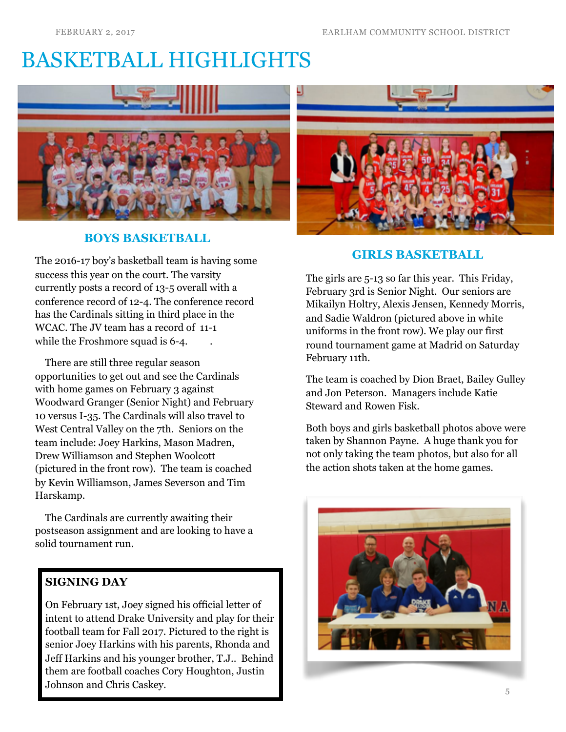# BASKETBALL HIGHLIGHTS



### **BOYS BASKETBALL**

The 2016-17 boy's basketball team is having some success this year on the court. The varsity currently posts a record of 13-5 overall with a conference record of 12-4. The conference record has the Cardinals sitting in third place in the WCAC. The JV team has a record of 11-1 while the Froshmore squad is 6-4.

 There are still three regular season opportunities to get out and see the Cardinals with home games on February 3 against Woodward Granger (Senior Night) and February 10 versus I-35. The Cardinals will also travel to West Central Valley on the 7th. Seniors on the team include: Joey Harkins, Mason Madren, Drew Williamson and Stephen Woolcott (pictured in the front row). The team is coached by Kevin Williamson, James Severson and Tim Harskamp.

 The Cardinals are currently awaiting their postseason assignment and are looking to have a solid tournament run.

### **SIGNING DAY**

On February 1st, Joey signed his official letter of intent to attend Drake University and play for their football team for Fall 2017. Pictured to the right is senior Joey Harkins with his parents, Rhonda and Jeff Harkins and his younger brother, T.J.. Behind them are football coaches Cory Houghton, Justin Johnson and Chris Caskey.



### **GIRLS BASKETBALL**

The girls are 5-13 so far this year. This Friday, February 3rd is Senior Night. Our seniors are Mikailyn Holtry, Alexis Jensen, Kennedy Morris, and Sadie Waldron (pictured above in white uniforms in the front row). We play our first round tournament game at Madrid on Saturday February 11th.

The team is coached by Dion Braet, Bailey Gulley and Jon Peterson. Managers include Katie Steward and Rowen Fisk.

Both boys and girls basketball photos above were taken by Shannon Payne. A huge thank you for not only taking the team photos, but also for all the action shots taken at the home games.